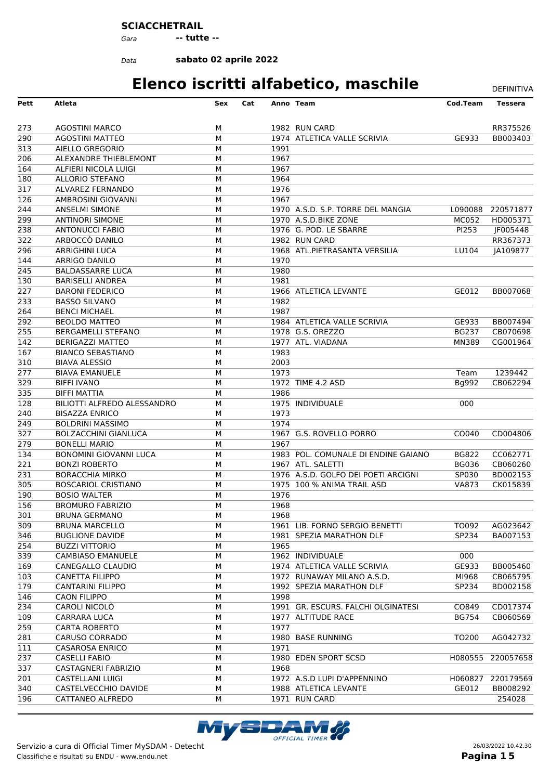#### **SCIACCHETRAIL**

*Gara* **-- tutte --**

*Data*

**sabato 02 aprile 2022**

## **Elenco iscritti alfabetico, maschile** DEFINITIVA

**Pett Atleta Sex Cat Anno Team Cod.Team Tessera** AGOSTINI MARCO M 1982 RUN CARD RR375526

| 290        | <b>AGOSTINI MATTEO</b>                         | М      |      | 1974 ATLETICA VALLE SCRIVIA         | GE933             | BB003403          |
|------------|------------------------------------------------|--------|------|-------------------------------------|-------------------|-------------------|
| 313        | AIELLO GREGORIO                                | M      | 1991 |                                     |                   |                   |
| 206        | ALEXANDRE THIEBLEMONT                          | M      | 1967 |                                     |                   |                   |
| 164        | ALFIERI NICOLA LUIGI                           | M      | 1967 |                                     |                   |                   |
| 180        | <b>ALLORIO STEFANO</b>                         | M      | 1964 |                                     |                   |                   |
| 317        | ALVAREZ FERNANDO                               | M      | 1976 |                                     |                   |                   |
| 126        | AMBROSINI GIOVANNI                             | M      | 1967 |                                     |                   |                   |
| 244        | <b>ANSELMI SIMONE</b>                          | M      |      | 1970 A.S.D. S.P. TORRE DEL MANGIA   | L090088           | 220571877         |
| 299        | <b>ANTINORI SIMONE</b>                         | M      |      | 1970 A.S.D.BIKE ZONE                | <b>MC052</b>      | HD005371          |
| 238        | <b>ANTONUCCI FABIO</b>                         | M      |      | 1976 G. POD. LE SBARRE              | PI253             | JF005448          |
| 322        | ARBOCCÒ DANILO                                 | M      |      | 1982 RUN CARD                       |                   | RR367373          |
| 296        | <b>ARRIGHINI LUCA</b>                          | M      |      | 1968 ATL.PIETRASANTA VERSILIA       | LU104             | JA109877          |
| 144        | ARRIGO DANILO                                  | M      | 1970 |                                     |                   |                   |
| 245        | <b>BALDASSARRE LUCA</b>                        | M      | 1980 |                                     |                   |                   |
| 130        | <b>BARISELLI ANDREA</b>                        | M      | 1981 |                                     |                   |                   |
| 227        | <b>BARONI FEDERICO</b>                         | M      |      | 1966 ATLETICA LEVANTE               | GE012             | BB007068          |
| 233        | <b>BASSO SILVANO</b>                           | M      | 1982 |                                     |                   |                   |
| 264        | <b>BENCI MICHAEL</b>                           | M      | 1987 |                                     |                   |                   |
| 292        | <b>BEOLDO MATTEO</b>                           | M      |      | 1984 ATLETICA VALLE SCRIVIA         | GE933             | BB007494          |
| 255        | <b>BERGAMELLI STEFANO</b>                      | M      |      | 1978 G.S. OREZZO                    | <b>BG237</b>      | CB070698          |
| 142        | <b>BERIGAZZI MATTEO</b>                        | M      |      | 1977 ATL. VIADANA                   | <b>MN389</b>      | CG001964          |
| 167        | <b>BIANCO SEBASTIANO</b>                       | M      | 1983 |                                     |                   |                   |
| 310        | <b>BIAVA ALESSIO</b>                           | M      | 2003 |                                     |                   |                   |
| 277        | <b>BIAVA EMANUELE</b>                          | M      | 1973 |                                     | Team              | 1239442           |
| 329        | <b>BIFFI IVANO</b>                             | М      |      | 1972 TIME 4.2 ASD                   | Bg992             | CB062294          |
| 335        | <b>BIFFI MATTIA</b>                            | M      | 1986 |                                     |                   |                   |
| 128        | BILIOTTI ALFREDO ALESSANDRO                    | M      |      | 1975 INDIVIDUALE                    | 000               |                   |
| 240        | <b>BISAZZA ENRICO</b>                          | M      | 1973 |                                     |                   |                   |
| 249        | <b>BOLDRINI MASSIMO</b>                        | M      | 1974 |                                     |                   |                   |
| 327        | <b>BOLZACCHINI GIANLUCA</b>                    | M      |      | 1967 G.S. ROVELLO PORRO             | CO040             | CD004806          |
| 279        | <b>BONELLI MARIO</b>                           | M      | 1967 |                                     |                   |                   |
| 134        | <b>BONOMINI GIOVANNI LUCA</b>                  | M      |      | 1983 POL. COMUNALE DI ENDINE GAIANO | <b>BG822</b>      | CC062771          |
| 221        | <b>BONZI ROBERTO</b>                           | M      |      | 1967 ATL. SALETTI                   | <b>BG036</b>      | CB060260          |
| 231        | <b>BORACCHIA MIRKO</b>                         | M      |      | 1976 A.S.D. GOLFO DEI POETI ARCIGNI | SP030             | BD002153          |
| 305        | <b>BOSCARIOL CRISTIANO</b>                     | M      |      | 1975 100 % ANIMA TRAIL ASD          | <b>VA873</b>      | CK015839          |
| 190        | <b>BOSIO WALTER</b>                            | M      | 1976 |                                     |                   |                   |
| 156        | <b>BROMURO FABRIZIO</b>                        | М      | 1968 |                                     |                   |                   |
| 301        | <b>BRUNA GERMANO</b>                           | M      | 1968 |                                     |                   |                   |
| 309        | <b>BRUNA MARCELLO</b>                          | M      |      | 1961 LIB. FORNO SERGIO BENETTI      | TO092             | AG023642          |
| 346        | <b>BUGLIONE DAVIDE</b>                         | M      |      | 1981 SPEZIA MARATHON DLF            | SP234             | BA007153          |
| 254        | <b>BUZZI VITTORIO</b>                          | М      | 1965 |                                     |                   |                   |
| 339        | <b>CAMBIASO EMANUELE</b>                       | М      |      | 1962 INDIVIDUALE                    | 000               |                   |
| 169        | CANEGALLO CLAUDIO                              | М      |      | 1974 ATLETICA VALLE SCRIVIA         | GE933             | BB005460          |
| 103        | <b>CANETTA FILIPPO</b>                         | М      |      | 1972 RUNAWAY MILANO A.S.D.          | MI968             | CB065795          |
| 179        | <b>CANTARINI FILIPPO</b>                       | м      |      | 1992 SPEZIA MARATHON DLF            | SP234             | BD002158          |
| 146        | <b>CAON FILIPPO</b>                            | м      | 1998 |                                     |                   |                   |
| 234        | CAROLI NICOLÒ                                  | M      |      | 1991 GR. ESCURS. FALCHI OLGINATESI  | CO849             | CD017374          |
|            |                                                |        |      | 1977 ALTITUDE RACE                  | <b>BG754</b>      | CB060569          |
| 109<br>259 | CARRARA LUCA<br><b>CARTA ROBERTO</b>           | М<br>м | 1977 |                                     |                   |                   |
| 281        | CARUSO CORRADO                                 | М      |      | 1980 BASE RUNNING                   | TO <sub>200</sub> | AG042732          |
|            |                                                |        | 1971 |                                     |                   |                   |
| 111<br>237 | <b>CASAROSA ENRICO</b><br><b>CASELLI FABIO</b> | м      |      |                                     |                   |                   |
| 337        | <b>CASTAGNERI FABRIZIO</b>                     | м<br>м | 1968 | 1980 EDEN SPORT SCSD                |                   | H080555 220057658 |
|            |                                                |        |      |                                     |                   |                   |
| 201        | <b>CASTELLANI LUIGI</b>                        | м      |      | 1972 A.S.D LUPI D'APPENNINO         | H060827           | 220179569         |
| 340        | CASTELVECCHIO DAVIDE                           | м      |      | 1988 ATLETICA LEVANTE               | GE012             | BB008292          |
| 196        | CATTANEO ALFREDO                               | м      |      | 1971 RUN CARD                       |                   | 254028            |

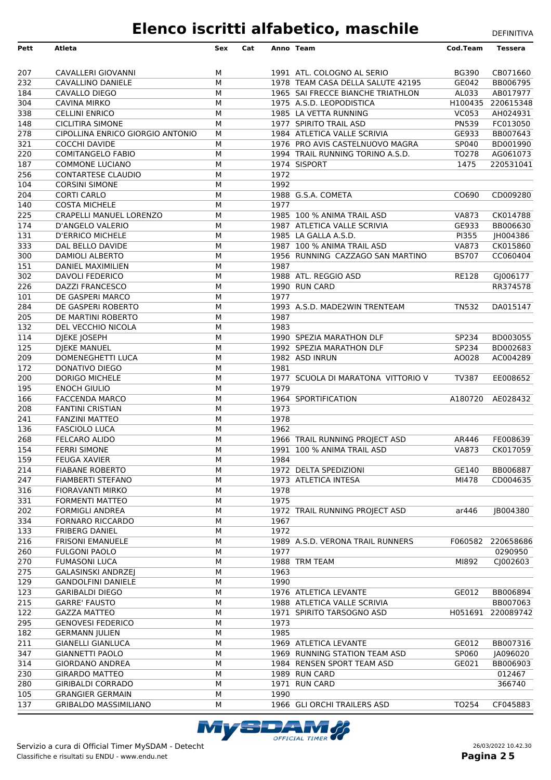| Pett             | Atleta                                              | Sex    | Cat |      | Anno Team                          | Cod.Team     | <b>Tessera</b>       |
|------------------|-----------------------------------------------------|--------|-----|------|------------------------------------|--------------|----------------------|
|                  |                                                     |        |     |      |                                    |              |                      |
| 207              | CAVALLERI GIOVANNI                                  | м      |     |      | 1991 ATL. COLOGNO AL SERIO         | <b>BG390</b> | CB071660             |
| 232              | CAVALLINO DANIELE                                   | M      |     |      | 1978 TEAM CASA DELLA SALUTE 42195  | GE042        | BB006795             |
| 184              | CAVALLO DIEGO                                       | M      |     |      | 1965 SAI FRECCE BIANCHE TRIATHLON  | AL033        | AB017977             |
| 304              | <b>CAVINA MIRKO</b>                                 | M      |     |      | 1975 A.S.D. LEOPODISTICA           | H100435      | 220615348            |
| 338              | <b>CELLINI ENRICO</b>                               | М      |     |      | 1985 LA VETTA RUNNING              | <b>VC053</b> | AH024931             |
| 148              | <b>CICLITIRA SIMONE</b>                             | M      |     |      | 1977 SPIRITO TRAIL ASD             | PN539        | FC013050             |
| 278              | CIPOLLINA ENRICO GIORGIO ANTONIO                    | M      |     |      | 1984 ATLETICA VALLE SCRIVIA        | GE933        | BB007643             |
| 321              | <b>COCCHI DAVIDE</b>                                | M      |     |      | 1976 PRO AVIS CASTELNUOVO MAGRA    | SP040        | BD001990             |
| 220              | <b>COMITANGELO FABIO</b>                            | M      |     |      | 1994 TRAIL RUNNING TORINO A.S.D.   | TO278        | AG061073             |
| 187              | <b>COMMONE LUCIANO</b>                              | М      |     |      | 1974 SISPORT                       | 1475         | 220531041            |
| 256              | <b>CONTARTESE CLAUDIO</b>                           | М      |     | 1972 |                                    |              |                      |
| 104              | <b>CORSINI SIMONE</b>                               | M      |     | 1992 |                                    |              |                      |
| 204              | <b>CORTI CARLO</b>                                  | M      |     | 1977 | 1988 G.S.A. COMETA                 | CO690        | CD009280             |
| 140              | <b>COSTA MICHELE</b><br>CRAPELLI MANUEL LORENZO     | M<br>M |     |      | 1985 100 % ANIMA TRAIL ASD         | <b>VA873</b> |                      |
| 225<br>174       | <b>D'ANGELO VALERIO</b>                             | M      |     |      | 1987 ATLETICA VALLE SCRIVIA        | GE933        | CK014788<br>BB006630 |
| 131              | <b>D'ERRICO MICHELE</b>                             | М      |     |      | 1985 LA GALLA A.S.D.               | PI355        | JH004386             |
| 333              | DAL BELLO DAVIDE                                    | M      |     |      | 1987 100 % ANIMA TRAIL ASD         | <b>VA873</b> | CK015860             |
| 300              | DAMIOLI ALBERTO                                     | M      |     |      | 1956 RUNNING CAZZAGO SAN MARTINO   | <b>BS707</b> | CC060404             |
| 151              | <b>DANIEL MAXIMILIEN</b>                            | М      |     | 1987 |                                    |              |                      |
| 302              | <b>DAVOLI FEDERICO</b>                              | M      |     |      | 1988 ATL. REGGIO ASD               | <b>RE128</b> | GJ006177             |
| 226              | <b>DAZZI FRANCESCO</b>                              | M      |     |      | 1990 RUN CARD                      |              | RR374578             |
| 101              | DE GASPERI MARCO                                    | M      |     | 1977 |                                    |              |                      |
| 284              | DE GASPERI ROBERTO                                  | M      |     |      | 1993 A.S.D. MADE2WIN TRENTEAM      | <b>TN532</b> | DA015147             |
| 205              | DE MARTINI ROBERTO                                  | M      |     | 1987 |                                    |              |                      |
| $\overline{132}$ | DEL VECCHIO NICOLA                                  | M      |     | 1983 |                                    |              |                      |
| 114              | DJEKE JOSEPH                                        | M      |     |      | 1990 SPEZIA MARATHON DLF           | SP234        | BD003055             |
| $\overline{125}$ | DJEKE MANUEL                                        | M      |     |      | 1992 SPEZIA MARATHON DLF           | SP234        | BD002683             |
| 209              | DOMENEGHETTI LUCA                                   | M      |     |      | 1982 ASD INRUN                     | AO028        | AC004289             |
| 172              | DONATIVO DIEGO                                      | M      |     | 1981 |                                    |              |                      |
| 200              | DORIGO MICHELE                                      | M      |     |      | 1977 SCUOLA DI MARATONA VITTORIO V | TV387        | EE008652             |
| 195              | <b>ENOCH GIULIO</b>                                 | М      |     | 1979 |                                    |              |                      |
| 166              | <b>FACCENDA MARCO</b>                               | M      |     |      | 1964 SPORTIFICATION                | A180720      | AE028432             |
| 208              | <b>FANTINI CRISTIAN</b>                             | M      |     | 1973 |                                    |              |                      |
| 241              | <b>FANZINI MATTEO</b>                               | M      |     | 1978 |                                    |              |                      |
| 136              | <b>FASCIOLO LUCA</b>                                | M      |     | 1962 |                                    |              |                      |
| 268              | <b>FELCARO ALIDO</b>                                | M      |     |      | 1966 TRAIL RUNNING PROJECT ASD     | AR446        | FE008639             |
| 154              | <b>FERRI SIMONE</b>                                 | M      |     |      | 1991 100 % ANIMA TRAIL ASD         | <b>VA873</b> | CK017059             |
| 159<br>214       | <b>FEUGA XAVIER</b><br><b>FIABANE ROBERTO</b>       | М<br>М |     | 1984 | 1972 DELTA SPEDIZIONI              | GE140        | BB006887             |
| 247              | FIAMBERTI STEFANO                                   | M      |     |      | 1973 ATLETICA INTESA               | MI478        | CD004635             |
| 316              | <b>FIORAVANTI MIRKO</b>                             | М      |     | 1978 |                                    |              |                      |
| 331              | <b>FORMENTI MATTEO</b>                              | M      |     | 1975 |                                    |              |                      |
| 202              | <b>FORMIGLI ANDREA</b>                              | M      |     |      | 1972 TRAIL RUNNING PROJECT ASD     | ar446        | JB004380             |
| 334              | <b>FORNARO RICCARDO</b>                             | M      |     | 1967 |                                    |              |                      |
| 133              | <b>FRIBERG DANIEL</b>                               | M      |     | 1972 |                                    |              |                      |
| 216              | <b>FRISONI EMANUELE</b>                             | M      |     |      | 1989 A.S.D. VERONA TRAIL RUNNERS   | F060582      | 220658686            |
| 260              | <b>FULGONI PAOLO</b>                                | M      |     | 1977 |                                    |              | 0290950              |
| 270              | <b>FUMASONI LUCA</b>                                | M      |     |      | 1988 TRM TEAM                      | MI892        | CJ002603             |
| 275              | <b>GALASINSKI ANDRZEJ</b>                           | M      |     | 1963 |                                    |              |                      |
| 129              | <b>GANDOLFINI DANIELE</b>                           | M      |     | 1990 |                                    |              |                      |
| 123              | <b>GARIBALDI DIEGO</b>                              | М      |     |      | 1976 ATLETICA LEVANTE              | GE012        | BB006894             |
| 215              | <b>GARRE' FAUSTO</b>                                | М      |     |      | 1988 ATLETICA VALLE SCRIVIA        |              | BB007063             |
| $\overline{122}$ | <b>GAZZA MATTEO</b>                                 | М      |     |      | 1971 SPIRITO TARSOGNO ASD          |              | H051691 220089742    |
| 295              | <b>GENOVESI FEDERICO</b>                            | M      |     | 1973 |                                    |              |                      |
| 182              | <b>GERMANN JULIEN</b>                               | M      |     | 1985 |                                    |              |                      |
| 211              | <b>GIANELLI GIANLUCA</b>                            | М      |     |      | 1969 ATLETICA LEVANTE              | GE012        | BB007316             |
| 347              | <b>GIANNETTI PAOLO</b>                              | М      |     |      | 1969 RUNNING STATION TEAM ASD      | SP060        | JA096020             |
| 314              | <b>GIORDANO ANDREA</b>                              | M      |     |      | 1984 RENSEN SPORT TEAM ASD         | GE021        | BB006903             |
| 230              | <b>GIRARDO MATTEO</b>                               | M      |     |      | 1989 RUN CARD                      |              | 012467               |
| 280<br>105       | <b>GIRIBALDI CORRADO</b><br><b>GRANGIER GERMAIN</b> | М<br>M |     | 1990 | 1971 RUN CARD                      |              | 366740               |
| 137              | <b>GRIBALDO MASSIMILIANO</b>                        | М      |     |      | 1966 GLI ORCHI TRAILERS ASD        | TO254        | CF045883             |
|                  |                                                     |        |     |      |                                    |              |                      |

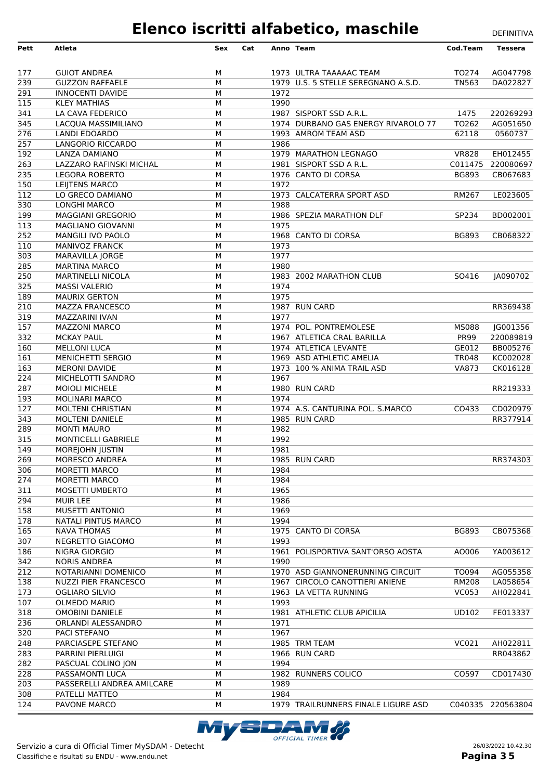| 177<br><b>GUIOT ANDREA</b><br>М<br>1973 ULTRA TAAAAAC TEAM<br>239<br>M<br>1979 U.S. 5 STELLE SEREGNANO A.S.D.<br><b>GUZZON RAFFAELE</b><br>291<br><b>INNOCENTI DAVIDE</b><br>М<br>1972<br>1990<br>115<br><b>KLEY MATHIAS</b><br>М<br>341<br>М<br>LA CAVA FEDERICO<br>1987 SISPORT SSD A.R.L.<br>345<br>M<br>1974 DURBANO GAS ENERGY RIVAROLO 77<br>LACQUA MASSIMILIANO<br>276<br>M<br>LANDI EDOARDO<br>1993 AMROM TEAM ASD<br>257<br>LANGORIO RICCARDO<br>М<br>1986<br>192<br>LANZA DAMIANO<br>М<br>1979 MARATHON LEGNAGO<br>263<br>LAZZARO RAFINSKI MICHAL<br>М<br>1981 SISPORT SSD A R.L.<br>235<br>М<br>1976 CANTO DI CORSA<br><b>LEGORA ROBERTO</b><br>150<br>M<br>1972<br>LEIJTENS MARCO<br>112<br>M<br>1973 CALCATERRA SPORT ASD<br>LO GRECO DAMIANO<br>330<br>1988<br><b>LONGHI MARCO</b><br>М<br>199<br><b>MAGGIANI GREGORIO</b><br>М<br>1986 SPEZIA MARATHON DLF<br>1975<br>113<br>М<br><b>MAGLIANO GIOVANNI</b><br>252<br>1968 CANTO DI CORSA<br>М<br>MANGILI IVO PAOLO<br>110<br>M<br>1973<br><b>MANIVOZ FRANCK</b><br>1977<br>303<br>M<br>MARAVILLA JORGE<br>285<br>М<br>1980<br><b>MARTINA MARCO</b><br>250<br><b>MARTINELLI NICOLA</b><br>М<br>1983 2002 MARATHON CLUB<br>325<br>1974<br><b>MASSI VALERIO</b><br>М<br>М<br>1975<br>189<br><b>MAURIX GERTON</b><br>210<br>M<br><b>MAZZA FRANCESCO</b><br>1987 RUN CARD<br>319<br>1977<br>MAZZARINI IVAN<br>М<br>157<br>1974 POL. PONTREMOLESE<br><b>MAZZONI MARCO</b><br>М<br>332<br><b>MCKAY PAUL</b><br>М<br>1967 ATLETICA CRAL BARILLA<br>160<br><b>MELLONI LUCA</b><br>М<br>1974 ATLETICA LEVANTE<br>161<br>М<br><b>MENICHETTI SERGIO</b><br>1969 ASD ATHLETIC AMELIA | TO274<br><b>TN563</b><br>1475 | AG047798<br>DA022827 |
|----------------------------------------------------------------------------------------------------------------------------------------------------------------------------------------------------------------------------------------------------------------------------------------------------------------------------------------------------------------------------------------------------------------------------------------------------------------------------------------------------------------------------------------------------------------------------------------------------------------------------------------------------------------------------------------------------------------------------------------------------------------------------------------------------------------------------------------------------------------------------------------------------------------------------------------------------------------------------------------------------------------------------------------------------------------------------------------------------------------------------------------------------------------------------------------------------------------------------------------------------------------------------------------------------------------------------------------------------------------------------------------------------------------------------------------------------------------------------------------------------------------------------------------------------------------------------------------------------------------------------------------|-------------------------------|----------------------|
|                                                                                                                                                                                                                                                                                                                                                                                                                                                                                                                                                                                                                                                                                                                                                                                                                                                                                                                                                                                                                                                                                                                                                                                                                                                                                                                                                                                                                                                                                                                                                                                                                                        |                               |                      |
|                                                                                                                                                                                                                                                                                                                                                                                                                                                                                                                                                                                                                                                                                                                                                                                                                                                                                                                                                                                                                                                                                                                                                                                                                                                                                                                                                                                                                                                                                                                                                                                                                                        |                               |                      |
|                                                                                                                                                                                                                                                                                                                                                                                                                                                                                                                                                                                                                                                                                                                                                                                                                                                                                                                                                                                                                                                                                                                                                                                                                                                                                                                                                                                                                                                                                                                                                                                                                                        |                               |                      |
|                                                                                                                                                                                                                                                                                                                                                                                                                                                                                                                                                                                                                                                                                                                                                                                                                                                                                                                                                                                                                                                                                                                                                                                                                                                                                                                                                                                                                                                                                                                                                                                                                                        |                               |                      |
|                                                                                                                                                                                                                                                                                                                                                                                                                                                                                                                                                                                                                                                                                                                                                                                                                                                                                                                                                                                                                                                                                                                                                                                                                                                                                                                                                                                                                                                                                                                                                                                                                                        |                               |                      |
|                                                                                                                                                                                                                                                                                                                                                                                                                                                                                                                                                                                                                                                                                                                                                                                                                                                                                                                                                                                                                                                                                                                                                                                                                                                                                                                                                                                                                                                                                                                                                                                                                                        |                               | 220269293            |
|                                                                                                                                                                                                                                                                                                                                                                                                                                                                                                                                                                                                                                                                                                                                                                                                                                                                                                                                                                                                                                                                                                                                                                                                                                                                                                                                                                                                                                                                                                                                                                                                                                        | TO262                         | AG051650             |
|                                                                                                                                                                                                                                                                                                                                                                                                                                                                                                                                                                                                                                                                                                                                                                                                                                                                                                                                                                                                                                                                                                                                                                                                                                                                                                                                                                                                                                                                                                                                                                                                                                        | 62118                         | 0560737              |
|                                                                                                                                                                                                                                                                                                                                                                                                                                                                                                                                                                                                                                                                                                                                                                                                                                                                                                                                                                                                                                                                                                                                                                                                                                                                                                                                                                                                                                                                                                                                                                                                                                        |                               |                      |
|                                                                                                                                                                                                                                                                                                                                                                                                                                                                                                                                                                                                                                                                                                                                                                                                                                                                                                                                                                                                                                                                                                                                                                                                                                                                                                                                                                                                                                                                                                                                                                                                                                        | <b>VR828</b>                  | EH012455             |
|                                                                                                                                                                                                                                                                                                                                                                                                                                                                                                                                                                                                                                                                                                                                                                                                                                                                                                                                                                                                                                                                                                                                                                                                                                                                                                                                                                                                                                                                                                                                                                                                                                        | C011475                       | 220080697            |
|                                                                                                                                                                                                                                                                                                                                                                                                                                                                                                                                                                                                                                                                                                                                                                                                                                                                                                                                                                                                                                                                                                                                                                                                                                                                                                                                                                                                                                                                                                                                                                                                                                        | <b>BG893</b>                  | CB067683             |
|                                                                                                                                                                                                                                                                                                                                                                                                                                                                                                                                                                                                                                                                                                                                                                                                                                                                                                                                                                                                                                                                                                                                                                                                                                                                                                                                                                                                                                                                                                                                                                                                                                        |                               |                      |
|                                                                                                                                                                                                                                                                                                                                                                                                                                                                                                                                                                                                                                                                                                                                                                                                                                                                                                                                                                                                                                                                                                                                                                                                                                                                                                                                                                                                                                                                                                                                                                                                                                        | RM267                         | LE023605             |
|                                                                                                                                                                                                                                                                                                                                                                                                                                                                                                                                                                                                                                                                                                                                                                                                                                                                                                                                                                                                                                                                                                                                                                                                                                                                                                                                                                                                                                                                                                                                                                                                                                        | SP234                         |                      |
|                                                                                                                                                                                                                                                                                                                                                                                                                                                                                                                                                                                                                                                                                                                                                                                                                                                                                                                                                                                                                                                                                                                                                                                                                                                                                                                                                                                                                                                                                                                                                                                                                                        |                               | BD002001             |
|                                                                                                                                                                                                                                                                                                                                                                                                                                                                                                                                                                                                                                                                                                                                                                                                                                                                                                                                                                                                                                                                                                                                                                                                                                                                                                                                                                                                                                                                                                                                                                                                                                        | <b>BG893</b>                  | CB068322             |
|                                                                                                                                                                                                                                                                                                                                                                                                                                                                                                                                                                                                                                                                                                                                                                                                                                                                                                                                                                                                                                                                                                                                                                                                                                                                                                                                                                                                                                                                                                                                                                                                                                        |                               |                      |
|                                                                                                                                                                                                                                                                                                                                                                                                                                                                                                                                                                                                                                                                                                                                                                                                                                                                                                                                                                                                                                                                                                                                                                                                                                                                                                                                                                                                                                                                                                                                                                                                                                        |                               |                      |
|                                                                                                                                                                                                                                                                                                                                                                                                                                                                                                                                                                                                                                                                                                                                                                                                                                                                                                                                                                                                                                                                                                                                                                                                                                                                                                                                                                                                                                                                                                                                                                                                                                        |                               |                      |
|                                                                                                                                                                                                                                                                                                                                                                                                                                                                                                                                                                                                                                                                                                                                                                                                                                                                                                                                                                                                                                                                                                                                                                                                                                                                                                                                                                                                                                                                                                                                                                                                                                        | SO416                         | JA090702             |
|                                                                                                                                                                                                                                                                                                                                                                                                                                                                                                                                                                                                                                                                                                                                                                                                                                                                                                                                                                                                                                                                                                                                                                                                                                                                                                                                                                                                                                                                                                                                                                                                                                        |                               |                      |
|                                                                                                                                                                                                                                                                                                                                                                                                                                                                                                                                                                                                                                                                                                                                                                                                                                                                                                                                                                                                                                                                                                                                                                                                                                                                                                                                                                                                                                                                                                                                                                                                                                        |                               |                      |
|                                                                                                                                                                                                                                                                                                                                                                                                                                                                                                                                                                                                                                                                                                                                                                                                                                                                                                                                                                                                                                                                                                                                                                                                                                                                                                                                                                                                                                                                                                                                                                                                                                        |                               | RR369438             |
|                                                                                                                                                                                                                                                                                                                                                                                                                                                                                                                                                                                                                                                                                                                                                                                                                                                                                                                                                                                                                                                                                                                                                                                                                                                                                                                                                                                                                                                                                                                                                                                                                                        |                               |                      |
|                                                                                                                                                                                                                                                                                                                                                                                                                                                                                                                                                                                                                                                                                                                                                                                                                                                                                                                                                                                                                                                                                                                                                                                                                                                                                                                                                                                                                                                                                                                                                                                                                                        | <b>MS088</b>                  | JG001356             |
|                                                                                                                                                                                                                                                                                                                                                                                                                                                                                                                                                                                                                                                                                                                                                                                                                                                                                                                                                                                                                                                                                                                                                                                                                                                                                                                                                                                                                                                                                                                                                                                                                                        | <b>PR99</b>                   | 220089819            |
|                                                                                                                                                                                                                                                                                                                                                                                                                                                                                                                                                                                                                                                                                                                                                                                                                                                                                                                                                                                                                                                                                                                                                                                                                                                                                                                                                                                                                                                                                                                                                                                                                                        | GE012                         | BB005276             |
|                                                                                                                                                                                                                                                                                                                                                                                                                                                                                                                                                                                                                                                                                                                                                                                                                                                                                                                                                                                                                                                                                                                                                                                                                                                                                                                                                                                                                                                                                                                                                                                                                                        | <b>TR048</b>                  | KC002028             |
| 163<br>M<br>1973 100 % ANIMA TRAIL ASD<br><b>MERONI DAVIDE</b>                                                                                                                                                                                                                                                                                                                                                                                                                                                                                                                                                                                                                                                                                                                                                                                                                                                                                                                                                                                                                                                                                                                                                                                                                                                                                                                                                                                                                                                                                                                                                                         | <b>VA873</b>                  | CK016128             |
| 1967<br>224<br>M<br>MICHELOTTI SANDRO                                                                                                                                                                                                                                                                                                                                                                                                                                                                                                                                                                                                                                                                                                                                                                                                                                                                                                                                                                                                                                                                                                                                                                                                                                                                                                                                                                                                                                                                                                                                                                                                  |                               |                      |
| 287<br>М<br>1980 RUN CARD<br><b>MOIOLI MICHELE</b>                                                                                                                                                                                                                                                                                                                                                                                                                                                                                                                                                                                                                                                                                                                                                                                                                                                                                                                                                                                                                                                                                                                                                                                                                                                                                                                                                                                                                                                                                                                                                                                     |                               | RR219333             |
| 1974<br>193<br>М<br><b>MOLINARI MARCO</b>                                                                                                                                                                                                                                                                                                                                                                                                                                                                                                                                                                                                                                                                                                                                                                                                                                                                                                                                                                                                                                                                                                                                                                                                                                                                                                                                                                                                                                                                                                                                                                                              |                               |                      |
| $\overline{127}$<br>1974 A.S. CANTURINA POL. S.MARCO<br><b>MOLTENI CHRISTIAN</b><br>М                                                                                                                                                                                                                                                                                                                                                                                                                                                                                                                                                                                                                                                                                                                                                                                                                                                                                                                                                                                                                                                                                                                                                                                                                                                                                                                                                                                                                                                                                                                                                  | CO433                         | CD020979             |
| 343<br><b>MOLTENI DANIELE</b><br>М<br>1985 RUN CARD<br>M                                                                                                                                                                                                                                                                                                                                                                                                                                                                                                                                                                                                                                                                                                                                                                                                                                                                                                                                                                                                                                                                                                                                                                                                                                                                                                                                                                                                                                                                                                                                                                               |                               | RR377914             |
| 289<br>1982<br><b>MONTI MAURO</b>                                                                                                                                                                                                                                                                                                                                                                                                                                                                                                                                                                                                                                                                                                                                                                                                                                                                                                                                                                                                                                                                                                                                                                                                                                                                                                                                                                                                                                                                                                                                                                                                      |                               |                      |
| 315<br>MONTICELLI GABRIELE<br>М<br>1992<br>149<br>М<br>1981<br><b>MOREJOHN JUSTIN</b>                                                                                                                                                                                                                                                                                                                                                                                                                                                                                                                                                                                                                                                                                                                                                                                                                                                                                                                                                                                                                                                                                                                                                                                                                                                                                                                                                                                                                                                                                                                                                  |                               |                      |
| 269<br>MORESCO ANDREA<br>1985 RUN CARD<br>м                                                                                                                                                                                                                                                                                                                                                                                                                                                                                                                                                                                                                                                                                                                                                                                                                                                                                                                                                                                                                                                                                                                                                                                                                                                                                                                                                                                                                                                                                                                                                                                            |                               | RR374303             |
| 1984<br>306<br><b>MORETTI MARCO</b><br>М                                                                                                                                                                                                                                                                                                                                                                                                                                                                                                                                                                                                                                                                                                                                                                                                                                                                                                                                                                                                                                                                                                                                                                                                                                                                                                                                                                                                                                                                                                                                                                                               |                               |                      |
| 1984<br>274<br>М<br><b>MORETTI MARCO</b>                                                                                                                                                                                                                                                                                                                                                                                                                                                                                                                                                                                                                                                                                                                                                                                                                                                                                                                                                                                                                                                                                                                                                                                                                                                                                                                                                                                                                                                                                                                                                                                               |                               |                      |
| 311<br>1965<br><b>MOSETTI UMBERTO</b><br>М                                                                                                                                                                                                                                                                                                                                                                                                                                                                                                                                                                                                                                                                                                                                                                                                                                                                                                                                                                                                                                                                                                                                                                                                                                                                                                                                                                                                                                                                                                                                                                                             |                               |                      |
| 294<br>1986<br>MUIR LEE<br>М                                                                                                                                                                                                                                                                                                                                                                                                                                                                                                                                                                                                                                                                                                                                                                                                                                                                                                                                                                                                                                                                                                                                                                                                                                                                                                                                                                                                                                                                                                                                                                                                           |                               |                      |
| 158<br><b>MUSETTI ANTONIO</b><br>1969<br>М                                                                                                                                                                                                                                                                                                                                                                                                                                                                                                                                                                                                                                                                                                                                                                                                                                                                                                                                                                                                                                                                                                                                                                                                                                                                                                                                                                                                                                                                                                                                                                                             |                               |                      |
| 178<br>NATALI PINTUS MARCO<br>1994<br>М                                                                                                                                                                                                                                                                                                                                                                                                                                                                                                                                                                                                                                                                                                                                                                                                                                                                                                                                                                                                                                                                                                                                                                                                                                                                                                                                                                                                                                                                                                                                                                                                |                               |                      |
| 165<br><b>NAVA THOMAS</b><br>1975 CANTO DI CORSA<br>М                                                                                                                                                                                                                                                                                                                                                                                                                                                                                                                                                                                                                                                                                                                                                                                                                                                                                                                                                                                                                                                                                                                                                                                                                                                                                                                                                                                                                                                                                                                                                                                  | <b>BG893</b>                  | CB075368             |
| 1993<br>307<br>NEGRETTO GIACOMO<br>М                                                                                                                                                                                                                                                                                                                                                                                                                                                                                                                                                                                                                                                                                                                                                                                                                                                                                                                                                                                                                                                                                                                                                                                                                                                                                                                                                                                                                                                                                                                                                                                                   |                               |                      |
| 186<br>1961 POLISPORTIVA SANT'ORSO AOSTA<br>NIGRA GIORGIO<br>М                                                                                                                                                                                                                                                                                                                                                                                                                                                                                                                                                                                                                                                                                                                                                                                                                                                                                                                                                                                                                                                                                                                                                                                                                                                                                                                                                                                                                                                                                                                                                                         | AO006                         | YA003612             |
| 342<br><b>NORIS ANDREA</b><br>М<br>1990                                                                                                                                                                                                                                                                                                                                                                                                                                                                                                                                                                                                                                                                                                                                                                                                                                                                                                                                                                                                                                                                                                                                                                                                                                                                                                                                                                                                                                                                                                                                                                                                |                               |                      |
| 212<br>1970 ASD GIANNONERUNNING CIRCUIT<br>NOTARIANNI DOMENICO<br>М                                                                                                                                                                                                                                                                                                                                                                                                                                                                                                                                                                                                                                                                                                                                                                                                                                                                                                                                                                                                                                                                                                                                                                                                                                                                                                                                                                                                                                                                                                                                                                    | TO094                         | AG055358             |
| 138<br><b>NUZZI PIER FRANCESCO</b><br>1967 CIRCOLO CANOTTIERI ANIENE<br>М                                                                                                                                                                                                                                                                                                                                                                                                                                                                                                                                                                                                                                                                                                                                                                                                                                                                                                                                                                                                                                                                                                                                                                                                                                                                                                                                                                                                                                                                                                                                                              | <b>RM208</b>                  | LA058654             |
| <b>OGLIARO SILVIO</b><br>1963 LA VETTA RUNNING<br>173<br>М                                                                                                                                                                                                                                                                                                                                                                                                                                                                                                                                                                                                                                                                                                                                                                                                                                                                                                                                                                                                                                                                                                                                                                                                                                                                                                                                                                                                                                                                                                                                                                             | <b>VC053</b>                  | AH022841             |
| 107<br>1993<br><b>OLMEDO MARIO</b><br>М                                                                                                                                                                                                                                                                                                                                                                                                                                                                                                                                                                                                                                                                                                                                                                                                                                                                                                                                                                                                                                                                                                                                                                                                                                                                                                                                                                                                                                                                                                                                                                                                |                               |                      |
| 318<br>1981 ATHLETIC CLUB APICILIA<br><b>OMOBINI DANIELE</b><br>М                                                                                                                                                                                                                                                                                                                                                                                                                                                                                                                                                                                                                                                                                                                                                                                                                                                                                                                                                                                                                                                                                                                                                                                                                                                                                                                                                                                                                                                                                                                                                                      | UD102                         | FE013337             |
| 236<br>1971<br>ORLANDI ALESSANDRO<br>М                                                                                                                                                                                                                                                                                                                                                                                                                                                                                                                                                                                                                                                                                                                                                                                                                                                                                                                                                                                                                                                                                                                                                                                                                                                                                                                                                                                                                                                                                                                                                                                                 |                               |                      |
| 320<br>PACI STEFANO<br>1967<br>М                                                                                                                                                                                                                                                                                                                                                                                                                                                                                                                                                                                                                                                                                                                                                                                                                                                                                                                                                                                                                                                                                                                                                                                                                                                                                                                                                                                                                                                                                                                                                                                                       |                               |                      |
| 248<br>PARCIASEPE STEFANO<br>1985 TRM TEAM<br>М                                                                                                                                                                                                                                                                                                                                                                                                                                                                                                                                                                                                                                                                                                                                                                                                                                                                                                                                                                                                                                                                                                                                                                                                                                                                                                                                                                                                                                                                                                                                                                                        | VC021                         | AH022811             |
| 1966 RUN CARD<br>283<br>PARRINI PIERLUIGI<br>М<br>1994                                                                                                                                                                                                                                                                                                                                                                                                                                                                                                                                                                                                                                                                                                                                                                                                                                                                                                                                                                                                                                                                                                                                                                                                                                                                                                                                                                                                                                                                                                                                                                                 |                               | RR043862             |
| 282<br>PASCUAL COLINO JON<br>М<br>228<br>PASSAMONTI LUCA<br>1982 RUNNERS COLICO<br>М                                                                                                                                                                                                                                                                                                                                                                                                                                                                                                                                                                                                                                                                                                                                                                                                                                                                                                                                                                                                                                                                                                                                                                                                                                                                                                                                                                                                                                                                                                                                                   |                               |                      |
| PASSERELLI ANDREA AMILCARE<br>М<br>1989<br>203                                                                                                                                                                                                                                                                                                                                                                                                                                                                                                                                                                                                                                                                                                                                                                                                                                                                                                                                                                                                                                                                                                                                                                                                                                                                                                                                                                                                                                                                                                                                                                                         |                               |                      |
| 308<br>PATELLI MATTEO<br>1984<br>М                                                                                                                                                                                                                                                                                                                                                                                                                                                                                                                                                                                                                                                                                                                                                                                                                                                                                                                                                                                                                                                                                                                                                                                                                                                                                                                                                                                                                                                                                                                                                                                                     | CO597                         | CD017430             |
| 124<br>PAVONE MARCO<br>М<br>1979 TRAILRUNNERS FINALE LIGURE ASD                                                                                                                                                                                                                                                                                                                                                                                                                                                                                                                                                                                                                                                                                                                                                                                                                                                                                                                                                                                                                                                                                                                                                                                                                                                                                                                                                                                                                                                                                                                                                                        |                               |                      |

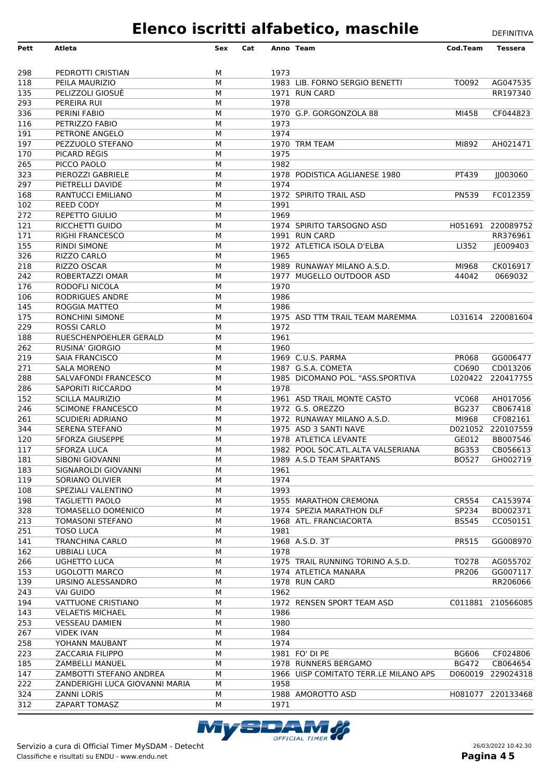| Pett             | <b>Atleta</b>                                        | Sex    | Cat |              | Anno Team                                           | Cod.Team     | <b>Tessera</b>                |
|------------------|------------------------------------------------------|--------|-----|--------------|-----------------------------------------------------|--------------|-------------------------------|
|                  |                                                      |        |     |              |                                                     |              |                               |
| 298              | PEDROTTI CRISTIAN                                    | М      |     | 1973         |                                                     |              |                               |
| 118              | PEILA MAURIZIO                                       | M      |     |              | 1983 LIB. FORNO SERGIO BENETTI                      | TO092        | AG047535                      |
| 135              | PELIZZOLI GIOSUÈ                                     | M      |     |              | 1971 RUN CARD                                       |              | RR197340                      |
| 293              | PEREIRA RUI                                          | М      |     | 1978         |                                                     |              |                               |
| 336              | PERINI FABIO                                         | М      |     |              | 1970 G.P. GORGONZOLA 88                             | MI458        | CF044823                      |
| 116              | PETRIZZO FABIO                                       | М      |     | 1973         |                                                     |              |                               |
| 191              | PETRONE ANGELO                                       | М      |     | 1974         |                                                     |              |                               |
| 197              | PEZZUOLO STEFANO<br>PICARD RÉGIS                     | M<br>М |     | 1975         | 1970 TRM TEAM                                       | MI892        | AH021471                      |
| 170<br>265       | PICCO PAOLO                                          | М      |     | 1982         |                                                     |              |                               |
| 323              | PIEROZZI GABRIELE                                    | М      |     |              | 1978 PODISTICA AGLIANESE 1980                       | PT439        | 003060                        |
| 297              | PIETRELLI DAVIDE                                     | М      |     | 1974         |                                                     |              |                               |
| 168              | RANTUCCI EMILIANO                                    | М      |     |              | 1972 SPIRITO TRAIL ASD                              | <b>PN539</b> | FC012359                      |
| 102              | <b>REED CODY</b>                                     | M      |     | 1991         |                                                     |              |                               |
| 272              | <b>REPETTO GIULIO</b>                                | М      |     | 1969         |                                                     |              |                               |
| 121              | RICCHETTI GUIDO                                      | М      |     |              | 1974 SPIRITO TARSOGNO ASD                           |              | H051691 220089752             |
| 171              | <b>RIGHI FRANCESCO</b>                               | М      |     |              | 1991 RUN CARD                                       |              | RR376961                      |
| 155              | <b>RINDI SIMONE</b>                                  | М      |     |              | 1972 ATLETICA ISOLA D'ELBA                          | LI352        | JE009403                      |
| 326              | RIZZO CARLO                                          | М      |     | 1965         |                                                     |              |                               |
| 218              | RIZZO OSCAR                                          | M      |     |              | 1989 RUNAWAY MILANO A.S.D.                          | MI968        | CK016917                      |
| 242              | ROBERTAZZI OMAR                                      | М      |     |              | 1977 MUGELLO OUTDOOR ASD                            | 44042        | 0669032                       |
| 176              | RODOFLI NICOLA                                       | М      |     | 1970         |                                                     |              |                               |
| 106<br>145       | <b>RODRIGUES ANDRE</b><br>ROGGIA MATTEO              | М<br>М |     | 1986<br>1986 |                                                     |              |                               |
| $\overline{175}$ | <b>RONCHINI SIMONE</b>                               | М      |     |              | 1975 ASD TTM TRAIL TEAM MAREMMA                     |              | L031614 220081604             |
| 229              | <b>ROSSI CARLO</b>                                   | M      |     | 1972         |                                                     |              |                               |
| 188              | RUESCHENPOEHLER GERALD                               | M      |     | 1961         |                                                     |              |                               |
| 262              | <b>RUSINA' GIORGIO</b>                               | M      |     | 1960         |                                                     |              |                               |
| 219              | <b>SAIA FRANCISCO</b>                                | М      |     |              | 1969 C.U.S. PARMA                                   | <b>PR068</b> | GG006477                      |
| 271              | <b>SALA MORENO</b>                                   | М      |     |              | 1987 G.S.A. COMETA                                  | CO690        | CD013206                      |
| 288              | SALVAFONDI FRANCESCO                                 | М      |     |              | 1985 DICOMANO POL. "ASS.SPORTIVA                    |              | L020422 220417755             |
| 286              | SAPORITI RICCARDO                                    | M      |     | 1978         |                                                     |              |                               |
| 152              | <b>SCILLA MAURIZIO</b>                               | М      |     |              | 1961 ASD TRAIL MONTE CASTO                          | <b>VC068</b> | AH017056                      |
| 246              | <b>SCIMONE FRANCESCO</b>                             | М      |     |              | 1972 G.S. OREZZO                                    | <b>BG237</b> | CB067418                      |
| 261              | <b>SCUDIERI ADRIANO</b>                              | М<br>М |     |              | 1972 RUNAWAY MILANO A.S.D.<br>1975 ASD 3 SANTI NAVE | MI968        | CF082161<br>D021052 220107559 |
| 344<br>120       | SERENA STEFANO<br><b>SFORZA GIUSEPPE</b>             | М      |     |              | 1978 ATLETICA LEVANTE                               | GE012        | BB007546                      |
| 117              | <b>SFORZA LUCA</b>                                   | М      |     |              | 1982 POOL SOC.ATL.ALTA VALSERIANA                   | <b>BG353</b> | CB056613                      |
| 181              | SIBONI GIOVANNI                                      | м      |     |              | 1989 A.S.D TEAM SPARTANS                            | <b>BO527</b> | GH002719                      |
| 183              | SIGNAROLDI GIOVANNI                                  | M      |     | 1961         |                                                     |              |                               |
| 119              | SORIANO OLIVIER                                      | М      |     | 1974         |                                                     |              |                               |
| 108              | SPEZIALI VALENTINO                                   | М      |     | 1993         |                                                     |              |                               |
| 198              | <b>TAGLIETTI PAOLO</b>                               | М      |     |              | 1955 MARATHON CREMONA                               | CR554        | CA153974                      |
| 328              | TOMASELLO DOMENICO                                   | М      |     |              | 1974 SPEZIA MARATHON DLF                            | SP234        | BD002371                      |
| 213              | <b>TOMASONI STEFANO</b>                              | М      |     |              | 1968 ATL. FRANCIACORTA                              | <b>BS545</b> | CC050151                      |
| 251              | <b>TOSO LUCA</b>                                     | М      |     | 1981         |                                                     |              |                               |
| 141              | <b>TRANCHINA CARLO</b>                               | М      |     |              | 1968 A.S.D. 3T                                      | PR515        | GG008970                      |
| 162<br>266       | <b>UBBIALI LUCA</b><br><b>UGHETTO LUCA</b>           | М<br>М |     | 1978         | 1975 TRAIL RUNNING TORINO A.S.D.                    | TO278        | AG055702                      |
| 153              | <b>UGOLOTTI MARCO</b>                                | М      |     |              | 1974 ATLETICA MANARA                                | <b>PR206</b> | GG007117                      |
| 139              | URSINO ALESSANDRO                                    | М      |     |              | 1978 RUN CARD                                       |              | RR206066                      |
| 243              | <b>VAI GUIDO</b>                                     | М      |     | 1962         |                                                     |              |                               |
| 194              | VATTUONE CRISTIANO                                   | М      |     |              | 1972 RENSEN SPORT TEAM ASD                          |              | C011881 210566085             |
| 143              | <b>VELAETIS MICHAEL</b>                              | М      |     | 1986         |                                                     |              |                               |
| 253              | <b>VESSEAU DAMIEN</b>                                | М      |     | 1980         |                                                     |              |                               |
| 267              | <b>VIDEK IVAN</b>                                    | М      |     | 1984         |                                                     |              |                               |
| 258              | YOHANN MAUBANT                                       | М      |     | 1974         |                                                     |              |                               |
| 223              | ZACCARIA FILIPPO                                     | м      |     |              | 1981 FO' DI PE                                      | <b>BG606</b> | CF024806                      |
| 185              | ZAMBELLI MANUEL                                      | М      |     |              | 1978 RUNNERS BERGAMO                                | <b>BG472</b> | CB064654                      |
| 147              | ZAMBOTTI STEFANO ANDREA                              | М      |     |              | 1966 UISP COMITATO TERR.LE MILANO APS               |              | D060019 229024318             |
| 222<br>324       | ZANDERIGHI LUCA GIOVANNI MARIA<br><b>ZANNI LORIS</b> | М<br>М |     | 1958         | 1988 AMOROTTO ASD                                   |              | H081077 220133468             |
| 312              | <b>ZAPART TOMASZ</b>                                 | М      |     | 1971         |                                                     |              |                               |
|                  |                                                      |        |     |              |                                                     |              |                               |